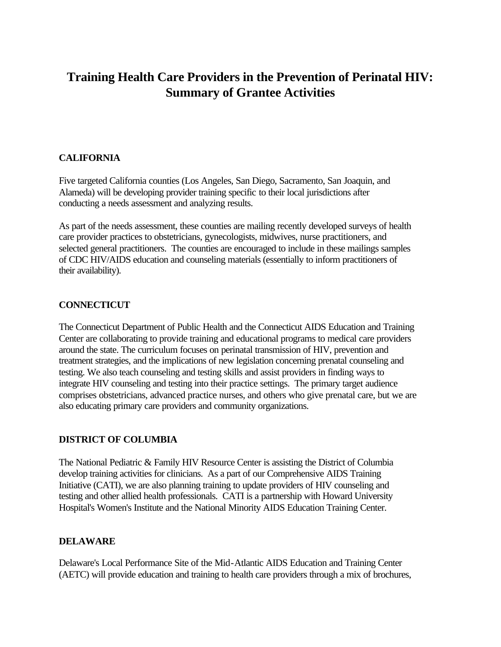# **Training Health Care Providers in the Prevention of Perinatal HIV: Summary of Grantee Activities**

## **CALIFORNIA**

Five targeted California counties (Los Angeles, San Diego, Sacramento, San Joaquin, and Alameda) will be developing provider training specific to their local jurisdictions after conducting a needs assessment and analyzing results.

As part of the needs assessment, these counties are mailing recently developed surveys of health care provider practices to obstetricians, gynecologists, midwives, nurse practitioners, and selected general practitioners. The counties are encouraged to include in these mailings samples of CDC HIV/AIDS education and counseling materials (essentially to inform practitioners of their availability).

#### **CONNECTICUT**

The Connecticut Department of Public Health and the Connecticut AIDS Education and Training Center are collaborating to provide training and educational programs to medical care providers around the state. The curriculum focuses on perinatal transmission of HIV, prevention and treatment strategies, and the implications of new legislation concerning prenatal counseling and testing. We also teach counseling and testing skills and assist providers in finding ways to integrate HIV counseling and testing into their practice settings. The primary target audience comprises obstetricians, advanced practice nurses, and others who give prenatal care, but we are also educating primary care providers and community organizations.

## **DISTRICT OF COLUMBIA**

The National Pediatric & Family HIV Resource Center is assisting the District of Columbia develop training activities for clinicians. As a part of our Comprehensive AIDS Training Initiative (CATI), we are also planning training to update providers of HIV counseling and testing and other allied health professionals. CATI is a partnership with Howard University Hospital's Women's Institute and the National Minority AIDS Education Training Center.

## **DELAWARE**

Delaware's Local Performance Site of the Mid-Atlantic AIDS Education and Training Center (AETC) will provide education and training to health care providers through a mix of brochures,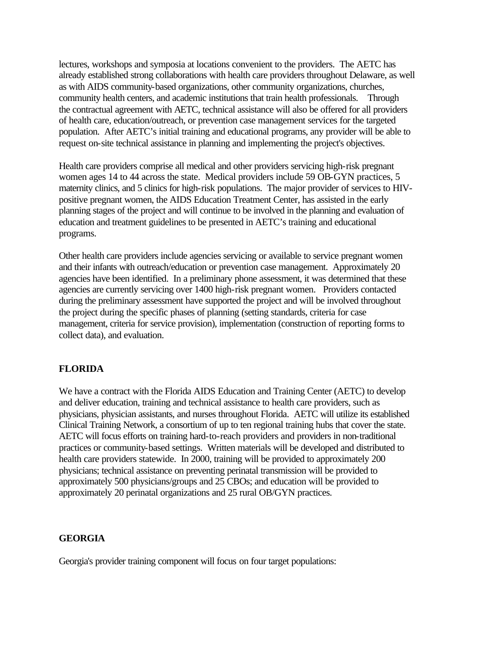lectures, workshops and symposia at locations convenient to the providers. The AETC has already established strong collaborations with health care providers throughout Delaware, as well as with AIDS community-based organizations, other community organizations, churches, community health centers, and academic institutions that train health professionals. Through the contractual agreement with AETC, technical assistance will also be offered for all providers of health care, education/outreach, or prevention case management services for the targeted population. After AETC's initial training and educational programs, any provider will be able to request on-site technical assistance in planning and implementing the project's objectives.

Health care providers comprise all medical and other providers servicing high-risk pregnant women ages 14 to 44 across the state. Medical providers include 59 OB-GYN practices, 5 maternity clinics, and 5 clinics for high-risk populations. The major provider of services to HIVpositive pregnant women, the AIDS Education Treatment Center, has assisted in the early planning stages of the project and will continue to be involved in the planning and evaluation of education and treatment guidelines to be presented in AETC's training and educational programs.

Other health care providers include agencies servicing or available to service pregnant women and their infants with outreach/education or prevention case management. Approximately 20 agencies have been identified. In a preliminary phone assessment, it was determined that these agencies are currently servicing over 1400 high-risk pregnant women. Providers contacted during the preliminary assessment have supported the project and will be involved throughout the project during the specific phases of planning (setting standards, criteria for case management, criteria for service provision), implementation (construction of reporting forms to collect data), and evaluation.

#### **FLORIDA**

We have a contract with the Florida AIDS Education and Training Center (AETC) to develop and deliver education, training and technical assistance to health care providers, such as physicians, physician assistants, and nurses throughout Florida. AETC will utilize its established Clinical Training Network, a consortium of up to ten regional training hubs that cover the state. AETC will focus efforts on training hard-to-reach providers and providers in non-traditional practices or community-based settings. Written materials will be developed and distributed to health care providers statewide. In 2000, training will be provided to approximately 200 physicians; technical assistance on preventing perinatal transmission will be provided to approximately 500 physicians/groups and 25 CBOs; and education will be provided to approximately 20 perinatal organizations and 25 rural OB/GYN practices.

#### **GEORGIA**

Georgia's provider training component will focus on four target populations: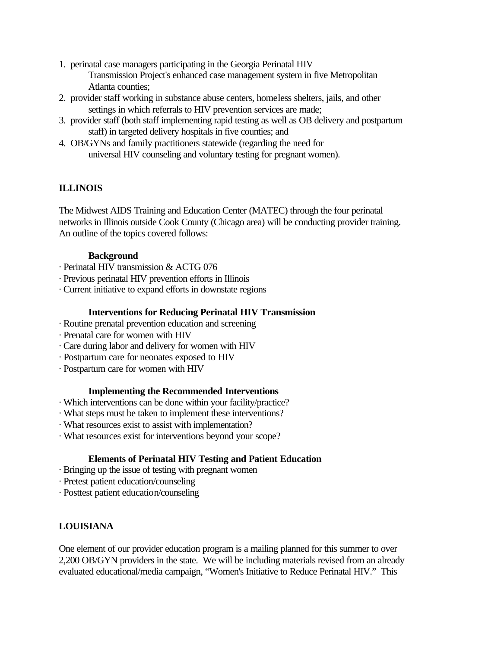- 1. perinatal case managers participating in the Georgia Perinatal HIV Transmission Project's enhanced case management system in five Metropolitan Atlanta counties;
- 2. provider staff working in substance abuse centers, homeless shelters, jails, and other settings in which referrals to HIV prevention services are made;
- 3. provider staff (both staff implementing rapid testing as well as OB delivery and postpartum staff) in targeted delivery hospitals in five counties; and
- 4. OB/GYNs and family practitioners statewide (regarding the need for universal HIV counseling and voluntary testing for pregnant women).

## **ILLINOIS**

The Midwest AIDS Training and Education Center (MATEC) through the four perinatal networks in Illinois outside Cook County (Chicago area) will be conducting provider training. An outline of the topics covered follows:

#### **Background**

- · Perinatal HIV transmission & ACTG 076
- · Previous perinatal HIV prevention efforts in Illinois
- · Current initiative to expand efforts in downstate regions

#### **Interventions for Reducing Perinatal HIV Transmission**

- · Routine prenatal prevention education and screening
- · Prenatal care for women with HIV
- · Care during labor and delivery for women with HIV
- · Postpartum care for neonates exposed to HIV
- · Postpartum care for women with HIV

## **Implementing the Recommended Interventions**

- · Which interventions can be done within your facility/practice?
- · What steps must be taken to implement these interventions?
- · What resources exist to assist with implementation?
- · What resources exist for interventions beyond your scope?

## **Elements of Perinatal HIV Testing and Patient Education**

- · Bringing up the issue of testing with pregnant women
- · Pretest patient education/counseling
- · Posttest patient education/counseling

# **LOUISIANA**

One element of our provider education program is a mailing planned for this summer to over 2,200 OB/GYN providers in the state. We will be including materials revised from an already evaluated educational/media campaign, "Women's Initiative to Reduce Perinatal HIV." This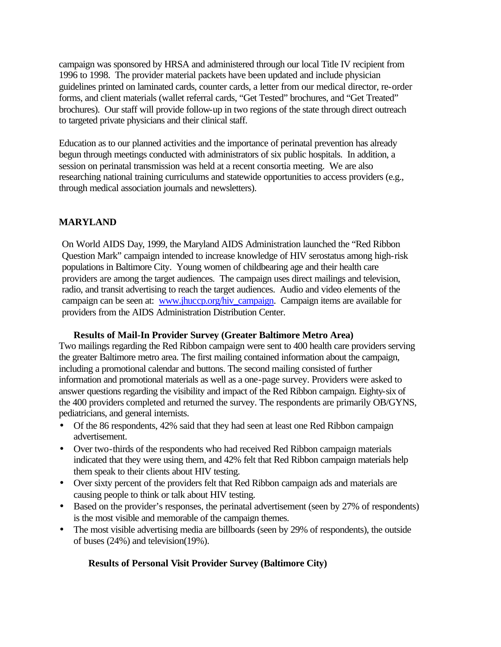campaign was sponsored by HRSA and administered through our local Title IV recipient from 1996 to 1998. The provider material packets have been updated and include physician guidelines printed on laminated cards, counter cards, a letter from our medical director, re-order forms, and client materials (wallet referral cards, "Get Tested" brochures, and "Get Treated" brochures). Our staff will provide follow-up in two regions of the state through direct outreach to targeted private physicians and their clinical staff.

Education as to our planned activities and the importance of perinatal prevention has already begun through meetings conducted with administrators of six public hospitals. In addition, a session on perinatal transmission was held at a recent consortia meeting. We are also researching national training curriculums and statewide opportunities to access providers (e.g., through medical association journals and newsletters).

## **MARYLAND**

On World AIDS Day, 1999, the Maryland AIDS Administration launched the "Red Ribbon Question Mark" campaign intended to increase knowledge of HIV serostatus among high-risk populations in Baltimore City. Young women of childbearing age and their health care providers are among the target audiences. The campaign uses direct mailings and television, radio, and transit advertising to reach the target audiences. Audio and video elements of the campaign can be seen at: www.jhuccp.org/hiv\_campaign. Campaign items are available for providers from the AIDS Administration Distribution Center.

## **Results of Mail-In Provider Survey (Greater Baltimore Metro Area)**

Two mailings regarding the Red Ribbon campaign were sent to 400 health care providers serving the greater Baltimore metro area. The first mailing contained information about the campaign, including a promotional calendar and buttons. The second mailing consisted of further information and promotional materials as well as a one-page survey. Providers were asked to answer questions regarding the visibility and impact of the Red Ribbon campaign. Eighty-six of the 400 providers completed and returned the survey. The respondents are primarily OB/GYNS, pediatricians, and general internists.

- Of the 86 respondents, 42% said that they had seen at least one Red Ribbon campaign advertisement.
- Over two-thirds of the respondents who had received Red Ribbon campaign materials indicated that they were using them, and 42% felt that Red Ribbon campaign materials help them speak to their clients about HIV testing.
- Over sixty percent of the providers felt that Red Ribbon campaign ads and materials are causing people to think or talk about HIV testing.
- Based on the provider's responses, the perinatal advertisement (seen by 27% of respondents) is the most visible and memorable of the campaign themes.
- The most visible advertising media are billboards (seen by 29% of respondents), the outside of buses (24%) and television(19%).

## **Results of Personal Visit Provider Survey (Baltimore City)**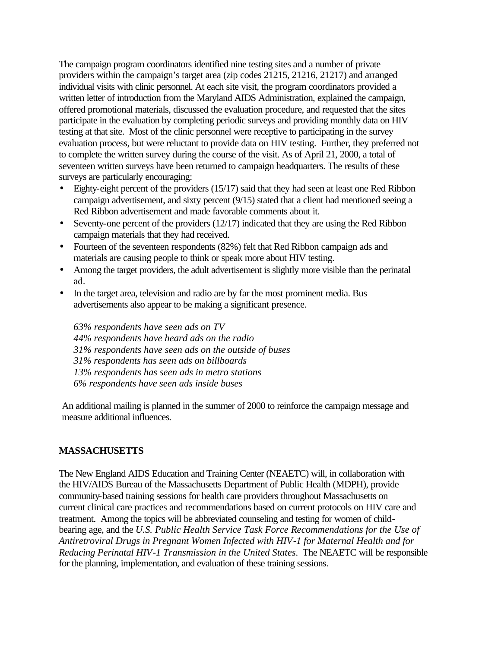The campaign program coordinators identified nine testing sites and a number of private providers within the campaign's target area (zip codes 21215, 21216, 21217) and arranged individual visits with clinic personnel. At each site visit, the program coordinators provided a written letter of introduction from the Maryland AIDS Administration, explained the campaign, offered promotional materials, discussed the evaluation procedure, and requested that the sites participate in the evaluation by completing periodic surveys and providing monthly data on HIV testing at that site. Most of the clinic personnel were receptive to participating in the survey evaluation process, but were reluctant to provide data on HIV testing. Further, they preferred not to complete the written survey during the course of the visit. As of April 21, 2000, a total of seventeen written surveys have been returned to campaign headquarters. The results of these surveys are particularly encouraging:

- Eighty-eight percent of the providers (15/17) said that they had seen at least one Red Ribbon campaign advertisement, and sixty percent (9/15) stated that a client had mentioned seeing a Red Ribbon advertisement and made favorable comments about it.
- Seventy-one percent of the providers  $(12/17)$  indicated that they are using the Red Ribbon campaign materials that they had received.
- Fourteen of the seventeen respondents (82%) felt that Red Ribbon campaign ads and materials are causing people to think or speak more about HIV testing.
- Among the target providers, the adult advertisement is slightly more visible than the perinatal ad.
- In the target area, television and radio are by far the most prominent media. Bus advertisements also appear to be making a significant presence.

*63% respondents have seen ads on TV 44% respondents have heard ads on the radio 31% respondents have seen ads on the outside of buses 31% respondents has seen ads on billboards 13% respondents has seen ads in metro stations 6% respondents have seen ads inside buses*

An additional mailing is planned in the summer of 2000 to reinforce the campaign message and measure additional influences.

#### **MASSACHUSETTS**

The New England AIDS Education and Training Center (NEAETC) will, in collaboration with the HIV/AIDS Bureau of the Massachusetts Department of Public Health (MDPH), provide community-based training sessions for health care providers throughout Massachusetts on current clinical care practices and recommendations based on current protocols on HIV care and treatment. Among the topics will be abbreviated counseling and testing for women of childbearing age, and the *U.S. Public Health Service Task Force Recommendations for the Use of Antiretroviral Drugs in Pregnant Women Infected with HIV-1 for Maternal Health and for Reducing Perinatal HIV-1 Transmission in the United States*. The NEAETC will be responsible for the planning, implementation, and evaluation of these training sessions.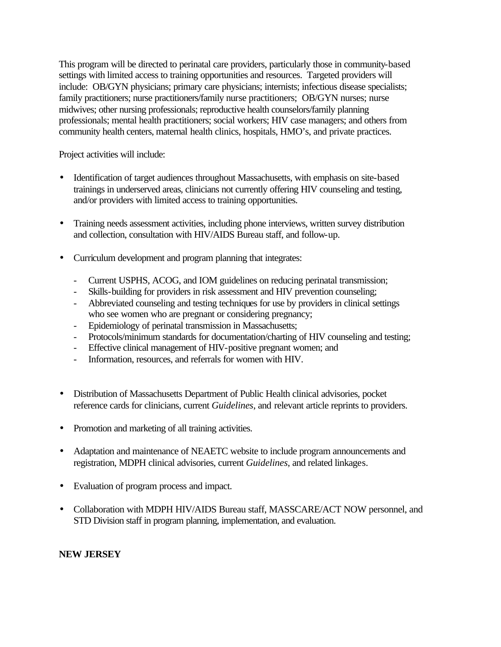This program will be directed to perinatal care providers, particularly those in community-based settings with limited access to training opportunities and resources. Targeted providers will include: OB/GYN physicians; primary care physicians; internists; infectious disease specialists; family practitioners; nurse practitioners/family nurse practitioners; OB/GYN nurses; nurse midwives; other nursing professionals; reproductive health counselors/family planning professionals; mental health practitioners; social workers; HIV case managers; and others from community health centers, maternal health clinics, hospitals, HMO's, and private practices.

Project activities will include:

- Identification of target audiences throughout Massachusetts, with emphasis on site-based trainings in underserved areas, clinicians not currently offering HIV counseling and testing, and/or providers with limited access to training opportunities.
- Training needs assessment activities, including phone interviews, written survey distribution and collection, consultation with HIV/AIDS Bureau staff, and follow-up.
- Curriculum development and program planning that integrates:
	- Current USPHS, ACOG, and IOM guidelines on reducing perinatal transmission;
	- Skills-building for providers in risk assessment and HIV prevention counseling;
	- Abbreviated counseling and testing techniques for use by providers in clinical settings who see women who are pregnant or considering pregnancy;
	- Epidemiology of perinatal transmission in Massachusetts;
	- Protocols/minimum standards for documentation/charting of HIV counseling and testing;
	- Effective clinical management of HIV-positive pregnant women; and
	- Information, resources, and referrals for women with HIV.
- Distribution of Massachusetts Department of Public Health clinical advisories, pocket reference cards for clinicians, current *Guidelines*, and relevant article reprints to providers.
- Promotion and marketing of all training activities.
- Adaptation and maintenance of NEAETC website to include program announcements and registration, MDPH clinical advisories, current *Guidelines*, and related linkages.
- Evaluation of program process and impact.
- Collaboration with MDPH HIV/AIDS Bureau staff, MASSCARE/ACT NOW personnel, and STD Division staff in program planning, implementation, and evaluation.

## **NEW JERSEY**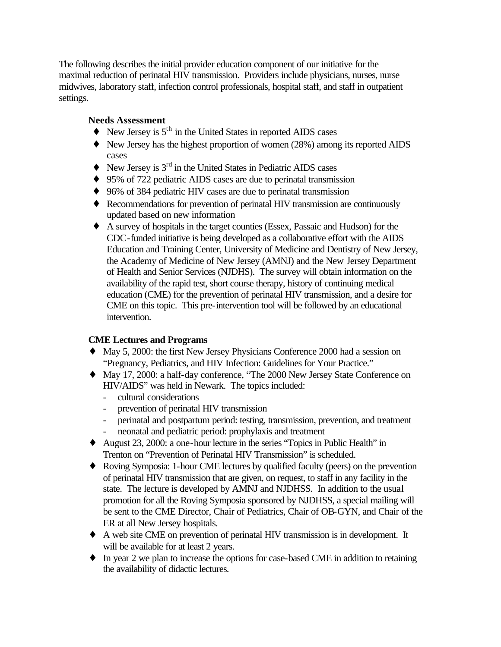The following describes the initial provider education component of our initiative for the maximal reduction of perinatal HIV transmission. Providers include physicians, nurses, nurse midwives, laboratory staff, infection control professionals, hospital staff, and staff in outpatient settings.

## **Needs Assessment**

- $\triangle$  New Jersey is  $5^{\text{th}}$  in the United States in reported AIDS cases
- ♦ New Jersey has the highest proportion of women (28%) among its reported AIDS cases
- $\blacklozenge$  New Jersey is  $3^{\text{rd}}$  in the United States in Pediatric AIDS cases
- ◆ 95% of 722 pediatric AIDS cases are due to perinatal transmission
- ♦ 96% of 384 pediatric HIV cases are due to perinatal transmission
- ♦ Recommendations for prevention of perinatal HIV transmission are continuously updated based on new information
- ♦ A survey of hospitals in the target counties (Essex, Passaic and Hudson) for the CDC-funded initiative is being developed as a collaborative effort with the AIDS Education and Training Center, University of Medicine and Dentistry of New Jersey, the Academy of Medicine of New Jersey (AMNJ) and the New Jersey Department of Health and Senior Services (NJDHS). The survey will obtain information on the availability of the rapid test, short course therapy, history of continuing medical education (CME) for the prevention of perinatal HIV transmission, and a desire for CME on this topic. This pre-intervention tool will be followed by an educational intervention.

## **CME Lectures and Programs**

- ♦ May 5, 2000: the first New Jersey Physicians Conference 2000 had a session on "Pregnancy, Pediatrics, and HIV Infection: Guidelines for Your Practice."
- ♦ May 17, 2000: a half-day conference, "The 2000 New Jersey State Conference on HIV/AIDS" was held in Newark. The topics included:
	- cultural considerations
	- prevention of perinatal HIV transmission
	- perinatal and postpartum period: testing, transmission, prevention, and treatment - neonatal and pediatric period: prophylaxis and treatment
- ♦ August 23, 2000: a one-hour lecture in the series "Topics in Public Health" in Trenton on "Prevention of Perinatal HIV Transmission" is scheduled.
- ♦ Roving Symposia: 1-hour CME lectures by qualified faculty (peers) on the prevention of perinatal HIV transmission that are given, on request, to staff in any facility in the state. The lecture is developed by AMNJ and NJDHSS. In addition to the usual promotion for all the Roving Symposia sponsored by NJDHSS, a special mailing will be sent to the CME Director, Chair of Pediatrics, Chair of OB-GYN, and Chair of the ER at all New Jersey hospitals.
- ♦ A web site CME on prevention of perinatal HIV transmission is in development. It will be available for at least 2 years.
- ♦ In year 2 we plan to increase the options for case-based CME in addition to retaining the availability of didactic lectures.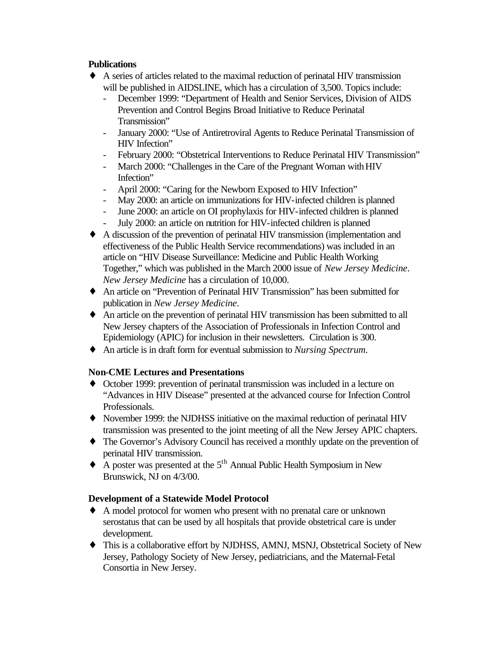## **Publications**

- ♦ A series of articles related to the maximal reduction of perinatal HIV transmission will be published in AIDSLINE, which has a circulation of 3,500. Topics include:
	- December 1999: "Department of Health and Senior Services, Division of AIDS Prevention and Control Begins Broad Initiative to Reduce Perinatal Transmission"
	- January 2000: "Use of Antiretroviral Agents to Reduce Perinatal Transmission of HIV Infection"
	- February 2000: "Obstetrical Interventions to Reduce Perinatal HIV Transmission"
	- March 2000: "Challenges in the Care of the Pregnant Woman with HIV Infection"
	- April 2000: "Caring for the Newborn Exposed to HIV Infection"
	- May 2000: an article on immunizations for HIV-infected children is planned
	- June 2000: an article on OI prophylaxis for HIV-infected children is planned
	- July 2000: an article on nutrition for HIV-infected children is planned
- ♦ A discussion of the prevention of perinatal HIV transmission (implementation and effectiveness of the Public Health Service recommendations) was included in an article on "HIV Disease Surveillance: Medicine and Public Health Working Together," which was published in the March 2000 issue of *New Jersey Medicine*. *New Jersey Medicine* has a circulation of 10,000.
- ♦ An article on "Prevention of Perinatal HIV Transmission" has been submitted for publication in *New Jersey Medicine*.
- ♦ An article on the prevention of perinatal HIV transmission has been submitted to all New Jersey chapters of the Association of Professionals in Infection Control and Epidemiology (APIC) for inclusion in their newsletters. Circulation is 300.
- ♦ An article is in draft form for eventual submission to *Nursing Spectrum.*

## **Non-CME Lectures and Presentations**

- ♦ October 1999: prevention of perinatal transmission was included in a lecture on "Advances in HIV Disease" presented at the advanced course for Infection Control Professionals.
- ♦ November 1999: the NJDHSS initiative on the maximal reduction of perinatal HIV transmission was presented to the joint meeting of all the New Jersey APIC chapters.
- ♦ The Governor's Advisory Council has received a monthly update on the prevention of perinatal HIV transmission.
- $\triangle$  A poster was presented at the 5<sup>th</sup> Annual Public Health Symposium in New Brunswick, NJ on 4/3/00.

## **Development of a Statewide Model Protocol**

- ♦ A model protocol for women who present with no prenatal care or unknown serostatus that can be used by all hospitals that provide obstetrical care is under development.
- ♦ This is a collaborative effort by NJDHSS, AMNJ, MSNJ, Obstetrical Society of New Jersey, Pathology Society of New Jersey, pediatricians, and the Maternal-Fetal Consortia in New Jersey.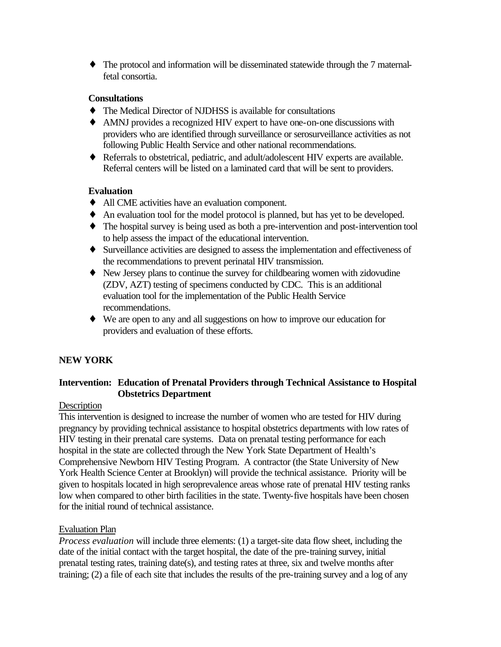♦ The protocol and information will be disseminated statewide through the 7 maternalfetal consortia.

#### **Consultations**

- ♦ The Medical Director of NJDHSS is available for consultations
- ♦ AMNJ provides a recognized HIV expert to have one-on-one discussions with providers who are identified through surveillance or serosurveillance activities as not following Public Health Service and other national recommendations.
- ♦ Referrals to obstetrical, pediatric, and adult/adolescent HIV experts are available. Referral centers will be listed on a laminated card that will be sent to providers.

## **Evaluation**

- ♦ All CME activities have an evaluation component.
- ♦ An evaluation tool for the model protocol is planned, but has yet to be developed.
- ♦ The hospital survey is being used as both a pre-intervention and post-intervention tool to help assess the impact of the educational intervention.
- ♦ Surveillance activities are designed to assess the implementation and effectiveness of the recommendations to prevent perinatal HIV transmission.
- ♦ New Jersey plans to continue the survey for childbearing women with zidovudine (ZDV, AZT) testing of specimens conducted by CDC. This is an additional evaluation tool for the implementation of the Public Health Service recommendations.
- ♦ We are open to any and all suggestions on how to improve our education for providers and evaluation of these efforts.

# **NEW YORK**

## **Intervention: Education of Prenatal Providers through Technical Assistance to Hospital Obstetrics Department**

## **Description**

This intervention is designed to increase the number of women who are tested for HIV during pregnancy by providing technical assistance to hospital obstetrics departments with low rates of HIV testing in their prenatal care systems. Data on prenatal testing performance for each hospital in the state are collected through the New York State Department of Health's Comprehensive Newborn HIV Testing Program. A contractor (the State University of New York Health Science Center at Brooklyn) will provide the technical assistance. Priority will be given to hospitals located in high seroprevalence areas whose rate of prenatal HIV testing ranks low when compared to other birth facilities in the state. Twenty-five hospitals have been chosen for the initial round of technical assistance.

#### Evaluation Plan

*Process evaluation* will include three elements: (1) a target-site data flow sheet, including the date of the initial contact with the target hospital, the date of the pre-training survey, initial prenatal testing rates, training date(s), and testing rates at three, six and twelve months after training; (2) a file of each site that includes the results of the pre-training survey and a log of any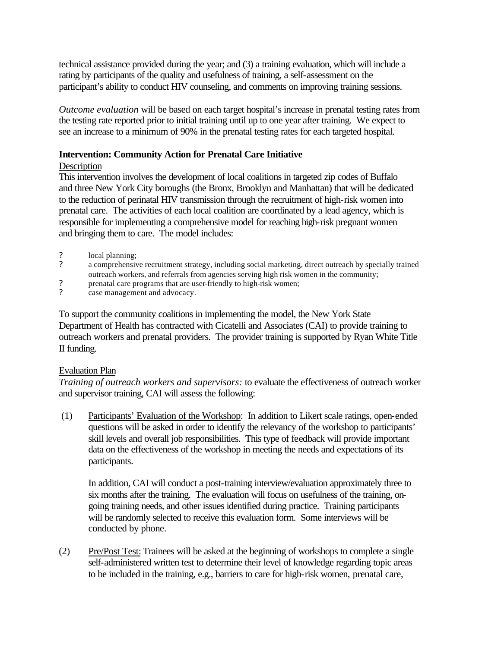technical assistance provided during the year; and (3) a training evaluation, which will include a rating by participants of the quality and usefulness of training, a self-assessment on the participant's ability to conduct HIV counseling, and comments on improving training sessions.

*Outcome evaluation* will be based on each target hospital's increase in prenatal testing rates from the testing rate reported prior to initial training until up to one year after training. We expect to see an increase to a minimum of 90% in the prenatal testing rates for each targeted hospital.

#### **Intervention: Community Action for Prenatal Care Initiative**

#### **Description**

This intervention involves the development of local coalitions in targeted zip codes of Buffalo and three New York City boroughs (the Bronx, Brooklyn and Manhattan) that will be dedicated to the reduction of perinatal HIV transmission through the recruitment of high-risk women into prenatal care. The activities of each local coalition are coordinated by a lead agency, which is responsible for implementing a comprehensive model for reaching high-risk pregnant women and bringing them to care. The model includes:

- ? local planning;
- ? a comprehensive recruitment strategy, including social marketing, direct outreach by specially trained outreach workers, and referrals from agencies serving high risk women in the community;
- ? prenatal care programs that are user-friendly to high-risk women;<br>
2 case management and advocacy.
- case management and advocacy.

To support the community coalitions in implementing the model, the New York State Department of Health has contracted with Cicatelli and Associates (CAI) to provide training to outreach workers and prenatal providers. The provider training is supported by Ryan White Title II funding.

## Evaluation Plan

*Training of outreach workers and supervisors:* to evaluate the effectiveness of outreach worker and supervisor training, CAI will assess the following:

 (1) Participants' Evaluation of the Workshop: In addition to Likert scale ratings, open-ended questions will be asked in order to identify the relevancy of the workshop to participants' skill levels and overall job responsibilities. This type of feedback will provide important data on the effectiveness of the workshop in meeting the needs and expectations of its participants.

In addition, CAI will conduct a post-training interview/evaluation approximately three to six months after the training. The evaluation will focus on usefulness of the training, ongoing training needs, and other issues identified during practice. Training participants will be randomly selected to receive this evaluation form. Some interviews will be conducted by phone.

(2) Pre/Post Test: Trainees will be asked at the beginning of workshops to complete a single self-administered written test to determine their level of knowledge regarding topic areas to be included in the training, e.g., barriers to care for high-risk women, prenatal care,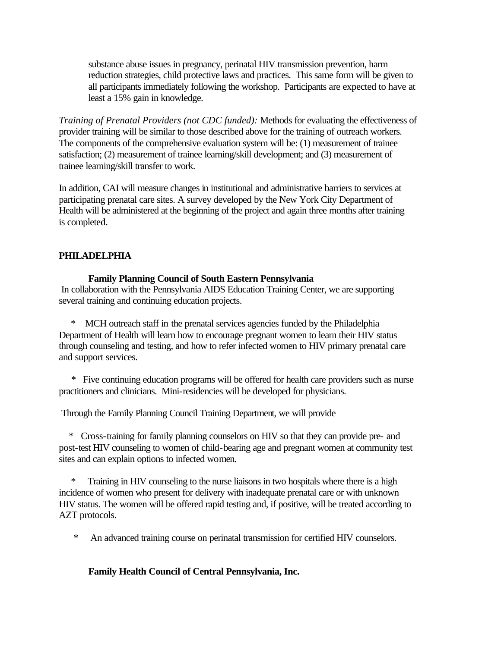substance abuse issues in pregnancy, perinatal HIV transmission prevention, harm reduction strategies, child protective laws and practices. This same form will be given to all participants immediately following the workshop. Participants are expected to have at least a 15% gain in knowledge.

*Training of Prenatal Providers (not CDC funded):* Methods for evaluating the effectiveness of provider training will be similar to those described above for the training of outreach workers. The components of the comprehensive evaluation system will be: (1) measurement of trainee satisfaction; (2) measurement of trainee learning/skill development; and (3) measurement of trainee learning/skill transfer to work.

In addition, CAI will measure changes in institutional and administrative barriers to services at participating prenatal care sites. A survey developed by the New York City Department of Health will be administered at the beginning of the project and again three months after training is completed.

## **PHILADELPHIA**

#### **Family Planning Council of South Eastern Pennsylvania**

 In collaboration with the Pennsylvania AIDS Education Training Center, we are supporting several training and continuing education projects.

 \* MCH outreach staff in the prenatal services agencies funded by the Philadelphia Department of Health will learn how to encourage pregnant women to learn their HIV status through counseling and testing, and how to refer infected women to HIV primary prenatal care and support services.

 \* Five continuing education programs will be offered for health care providers such as nurse practitioners and clinicians. Mini-residencies will be developed for physicians.

Through the Family Planning Council Training Department, we will provide

 \* Cross-training for family planning counselors on HIV so that they can provide pre- and post-test HIV counseling to women of child-bearing age and pregnant women at community test sites and can explain options to infected women.

Training in HIV counseling to the nurse liaisons in two hospitals where there is a high incidence of women who present for delivery with inadequate prenatal care or with unknown HIV status. The women will be offered rapid testing and, if positive, will be treated according to AZT protocols.

\* An advanced training course on perinatal transmission for certified HIV counselors.

## **Family Health Council of Central Pennsylvania, Inc.**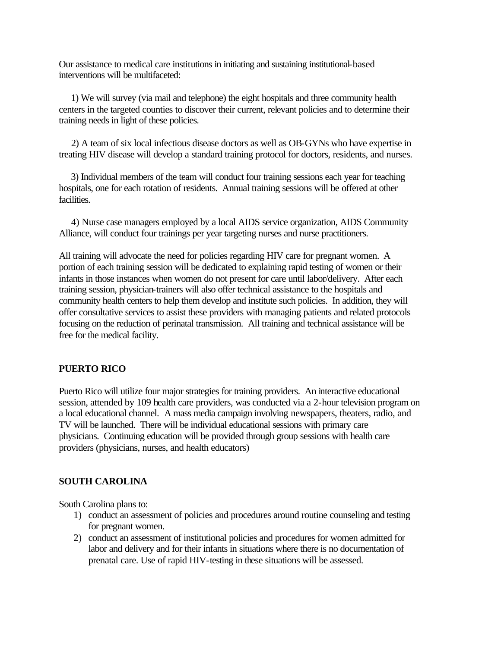Our assistance to medical care institutions in initiating and sustaining institutional-based interventions will be multifaceted:

 1) We will survey (via mail and telephone) the eight hospitals and three community health centers in the targeted counties to discover their current, relevant policies and to determine their training needs in light of these policies.

 2) A team of six local infectious disease doctors as well as OB-GYNs who have expertise in treating HIV disease will develop a standard training protocol for doctors, residents, and nurses.

 3) Individual members of the team will conduct four training sessions each year for teaching hospitals, one for each rotation of residents. Annual training sessions will be offered at other facilities.

 4) Nurse case managers employed by a local AIDS service organization, AIDS Community Alliance, will conduct four trainings per year targeting nurses and nurse practitioners.

All training will advocate the need for policies regarding HIV care for pregnant women. A portion of each training session will be dedicated to explaining rapid testing of women or their infants in those instances when women do not present for care until labor/delivery. After each training session, physician-trainers will also offer technical assistance to the hospitals and community health centers to help them develop and institute such policies. In addition, they will offer consultative services to assist these providers with managing patients and related protocols focusing on the reduction of perinatal transmission. All training and technical assistance will be free for the medical facility.

#### **PUERTO RICO**

Puerto Rico will utilize four major strategies for training providers. An interactive educational session, attended by 109 health care providers, was conducted via a 2-hour television program on a local educational channel. A mass media campaign involving newspapers, theaters, radio, and TV will be launched. There will be individual educational sessions with primary care physicians. Continuing education will be provided through group sessions with health care providers (physicians, nurses, and health educators)

#### **SOUTH CAROLINA**

South Carolina plans to:

- 1) conduct an assessment of policies and procedures around routine counseling and testing for pregnant women.
- 2) conduct an assessment of institutional policies and procedures for women admitted for labor and delivery and for their infants in situations where there is no documentation of prenatal care. Use of rapid HIV-testing in these situations will be assessed.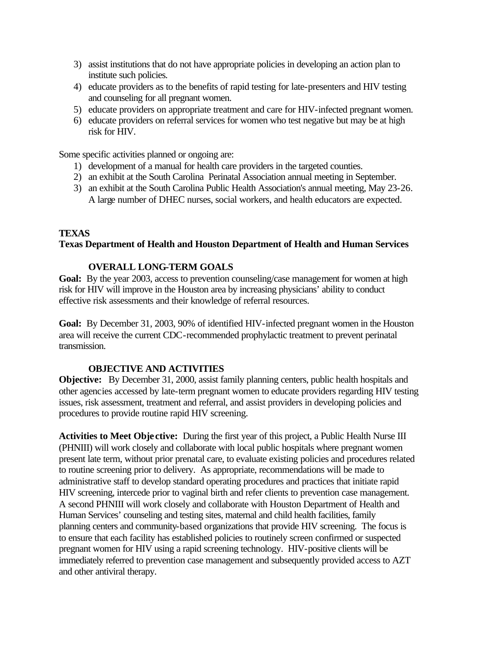- 3) assist institutions that do not have appropriate policies in developing an action plan to institute such policies.
- 4) educate providers as to the benefits of rapid testing for late-presenters and HIV testing and counseling for all pregnant women.
- 5) educate providers on appropriate treatment and care for HIV-infected pregnant women.
- 6) educate providers on referral services for women who test negative but may be at high risk for HIV.

Some specific activities planned or ongoing are:

- 1) development of a manual for health care providers in the targeted counties.
- 2) an exhibit at the South Carolina Perinatal Association annual meeting in September.
- 3) an exhibit at the South Carolina Public Health Association's annual meeting, May 23-26. A large number of DHEC nurses, social workers, and health educators are expected.

#### **TEXAS**

#### **Texas Department of Health and Houston Department of Health and Human Services**

#### **OVERALL LONG-TERM GOALS**

Goal: By the year 2003, access to prevention counseling/case management for women at high risk for HIV will improve in the Houston area by increasing physicians' ability to conduct effective risk assessments and their knowledge of referral resources.

**Goal:** By December 31, 2003, 90% of identified HIV-infected pregnant women in the Houston area will receive the current CDC-recommended prophylactic treatment to prevent perinatal transmission.

#### **OBJECTIVE AND ACTIVITIES**

**Objective:** By December 31, 2000, assist family planning centers, public health hospitals and other agencies accessed by late-term pregnant women to educate providers regarding HIV testing issues, risk assessment, treatment and referral, and assist providers in developing policies and procedures to provide routine rapid HIV screening.

**Activities to Meet Obje ctive:** During the first year of this project, a Public Health Nurse III (PHNIII) will work closely and collaborate with local public hospitals where pregnant women present late term, without prior prenatal care, to evaluate existing policies and procedures related to routine screening prior to delivery. As appropriate, recommendations will be made to administrative staff to develop standard operating procedures and practices that initiate rapid HIV screening, intercede prior to vaginal birth and refer clients to prevention case management. A second PHNIII will work closely and collaborate with Houston Department of Health and Human Services' counseling and testing sites, maternal and child health facilities, family planning centers and community-based organizations that provide HIV screening. The focus is to ensure that each facility has established policies to routinely screen confirmed or suspected pregnant women for HIV using a rapid screening technology. HIV-positive clients will be immediately referred to prevention case management and subsequently provided access to AZT and other antiviral therapy.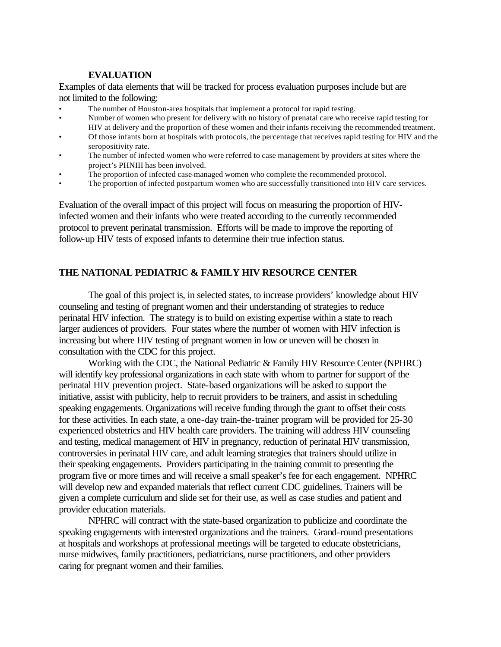#### **EVALUATION**

Examples of data elements that will be tracked for process evaluation purposes include but are not limited to the following:

- The number of Houston-area hospitals that implement a protocol for rapid testing.
- Number of women who present for delivery with no history of prenatal care who receive rapid testing for HIV at delivery and the proportion of these women and their infants receiving the recommended treatment.
- Of those infants born at hospitals with protocols, the percentage that receives rapid testing for HIV and the seropositivity rate.
- The number of infected women who were referred to case management by providers at sites where the project's PHNIII has been involved.
- The proportion of infected case-managed women who complete the recommended protocol.
- The proportion of infected postpartum women who are successfully transitioned into HIV care services.

Evaluation of the overall impact of this project will focus on measuring the proportion of HIVinfected women and their infants who were treated according to the currently recommended protocol to prevent perinatal transmission. Efforts will be made to improve the reporting of follow-up HIV tests of exposed infants to determine their true infection status.

#### **THE NATIONAL PEDIATRIC & FAMILY HIV RESOURCE CENTER**

The goal of this project is, in selected states, to increase providers' knowledge about HIV counseling and testing of pregnant women and their understanding of strategies to reduce perinatal HIV infection. The strategy is to build on existing expertise within a state to reach larger audiences of providers. Four states where the number of women with HIV infection is increasing but where HIV testing of pregnant women in low or uneven will be chosen in consultation with the CDC for this project.

Working with the CDC, the National Pediatric & Family HIV Resource Center (NPHRC) will identify key professional organizations in each state with whom to partner for support of the perinatal HIV prevention project. State-based organizations will be asked to support the initiative, assist with publicity, help to recruit providers to be trainers, and assist in scheduling speaking engagements. Organizations will receive funding through the grant to offset their costs for these activities. In each state, a one-day train-the-trainer program will be provided for 25-30 experienced obstetrics and HIV health care providers. The training will address HIV counseling and testing, medical management of HIV in pregnancy, reduction of perinatal HIV transmission, controversies in perinatal HIV care, and adult learning strategies that trainers should utilize in their speaking engagements. Providers participating in the training commit to presenting the program five or more times and will receive a small speaker's fee for each engagement. NPHRC will develop new and expanded materials that reflect current CDC guidelines. Trainers will be given a complete curriculum and slide set for their use, as well as case studies and patient and provider education materials.

NPHRC will contract with the state-based organization to publicize and coordinate the speaking engagements with interested organizations and the trainers. Grand-round presentations at hospitals and workshops at professional meetings will be targeted to educate obstetricians, nurse midwives, family practitioners, pediatricians, nurse practitioners, and other providers caring for pregnant women and their families.